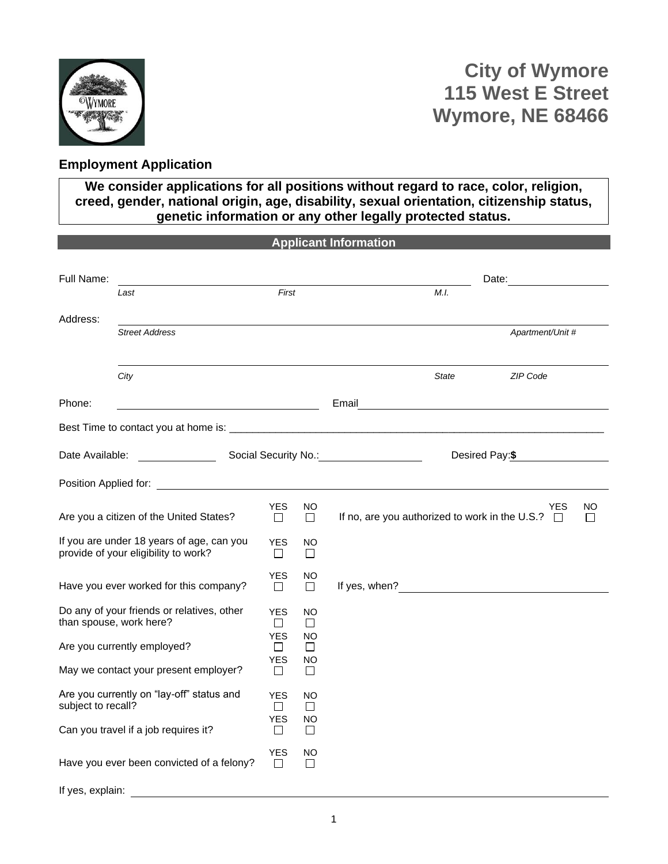

## **Employment Application**

**We consider applications for all positions without regard to race, color, religion, creed, gender, national origin, age, disability, sexual orientation, citizenship status, genetic information or any other legally protected status.**

|                    |                                                                                   |                      |                     | <b>Applicant Information</b>                   |              |                                                                                                                                                                                                                                      |              |
|--------------------|-----------------------------------------------------------------------------------|----------------------|---------------------|------------------------------------------------|--------------|--------------------------------------------------------------------------------------------------------------------------------------------------------------------------------------------------------------------------------------|--------------|
| Full Name:         |                                                                                   |                      |                     |                                                |              | Date: <u>_____________</u>                                                                                                                                                                                                           |              |
|                    | Last                                                                              | First                |                     |                                                | M.I.         |                                                                                                                                                                                                                                      |              |
| Address:           |                                                                                   |                      |                     |                                                |              |                                                                                                                                                                                                                                      |              |
|                    | <b>Street Address</b>                                                             |                      |                     |                                                |              | Apartment/Unit #                                                                                                                                                                                                                     |              |
|                    | City                                                                              |                      |                     |                                                | <b>State</b> | ZIP Code                                                                                                                                                                                                                             |              |
| Phone:             | <u> 1980 - Johann Barbara, martxa alemaniar a</u>                                 |                      |                     |                                                |              | Email <b>Executive Contract Contract Contract Contract Contract Contract Contract Contract Contract Contract Contract Contract Contract Contract Contract Contract Contract Contract Contract Contract Contract Contract Contrac</b> |              |
|                    |                                                                                   |                      |                     |                                                |              |                                                                                                                                                                                                                                      |              |
| Date Available:    |                                                                                   |                      |                     | Social Security No.: <u>__________________</u> |              | Desired Pay:\$                                                                                                                                                                                                                       |              |
|                    |                                                                                   |                      |                     |                                                |              |                                                                                                                                                                                                                                      |              |
|                    | Are you a citizen of the United States?                                           | <b>YES</b><br>$\Box$ | NO.<br>$\Box$       |                                                |              | <b>YES</b><br>If no, are you authorized to work in the U.S.? $\Box$                                                                                                                                                                  | NO<br>$\Box$ |
|                    | If you are under 18 years of age, can you<br>provide of your eligibility to work? | <b>YES</b><br>Ш      | NO.<br>П            |                                                |              |                                                                                                                                                                                                                                      |              |
|                    | Have you ever worked for this company?                                            | YES<br>П             | NO<br>П             |                                                |              |                                                                                                                                                                                                                                      |              |
|                    | Do any of your friends or relatives, other<br>than spouse, work here?             | <b>YES</b><br>$\Box$ | NO<br>$\Box$        |                                                |              |                                                                                                                                                                                                                                      |              |
|                    | Are you currently employed?                                                       | <b>YES</b><br>П      | NO<br>П             |                                                |              |                                                                                                                                                                                                                                      |              |
|                    | May we contact your present employer?                                             | <b>YES</b><br>$\Box$ | <b>NO</b><br>$\Box$ |                                                |              |                                                                                                                                                                                                                                      |              |
| subject to recall? | Are you currently on "lay-off" status and                                         | <b>YES</b><br>П      | NO<br>$\Box$        |                                                |              |                                                                                                                                                                                                                                      |              |
|                    | Can you travel if a job requires it?                                              | <b>YES</b><br>$\Box$ | NO<br>$\Box$        |                                                |              |                                                                                                                                                                                                                                      |              |
|                    | Have you ever been convicted of a felony?                                         | YES<br>П             | NO.<br>$\Box$       |                                                |              |                                                                                                                                                                                                                                      |              |
| If yes, explain:   |                                                                                   |                      |                     |                                                |              |                                                                                                                                                                                                                                      |              |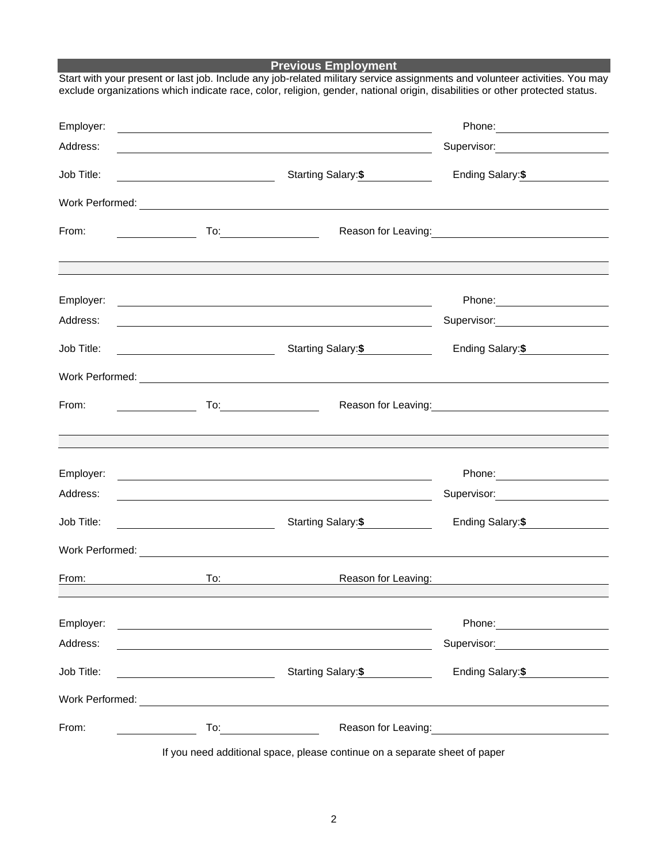## **Previous Employment**

| Employer:<br>Address: | <u> 1989 - Johann Stein, mars an deus Amerikaansk kommunister (</u>                                                                     |                                                                                                                                                                                   | Supervisor: Victor Control of The Control of The Control of The Control of The Control of The Control of The Co                                                                                                                        |
|-----------------------|-----------------------------------------------------------------------------------------------------------------------------------------|-----------------------------------------------------------------------------------------------------------------------------------------------------------------------------------|----------------------------------------------------------------------------------------------------------------------------------------------------------------------------------------------------------------------------------------|
| Job Title:            | <u> 1989 - Johann Barn, fransk politik (</u>                                                                                            | <u> 2008 - Andrea Andrew Maria (h. 1888).</u><br>Starting Salary: \$                                                                                                              | Ending Salary: \$                                                                                                                                                                                                                      |
|                       |                                                                                                                                         |                                                                                                                                                                                   |                                                                                                                                                                                                                                        |
| From:                 | $\begin{aligned} \mathcal{L}_{\text{max}}(\mathcal{L}_{\text{max}}) = \mathcal{L}_{\text{max}}(\mathcal{L}_{\text{max}}) \end{aligned}$ |                                                                                                                                                                                   | Reason for Leaving:<br><u>Next and the manual contract of the set of the set of the set of the set of the set of the set of the set of the set of the set of the set of the set of the set of the set of the set of the set of the</u> |
|                       |                                                                                                                                         |                                                                                                                                                                                   |                                                                                                                                                                                                                                        |
| Employer:<br>Address: |                                                                                                                                         | <u> 1980 - Jan Samuel Barbara, martin da basar da shekara 1980 - An tsara 1980 - An tsara 1980 - An tsara 1980 -</u><br><u> 1989 - Johann Barnett, fransk politiker (d. 1989)</u> | Supervisor: Victor Contract Contract Contract Contract Contract Contract Contract Contract Contract Contract Co                                                                                                                        |
| Job Title:            | <u> 1980 - Johann Barbara, martin a</u>                                                                                                 | Starting Salary:\$                                                                                                                                                                | Ending Salary: \$                                                                                                                                                                                                                      |
|                       |                                                                                                                                         |                                                                                                                                                                                   |                                                                                                                                                                                                                                        |
| From:                 |                                                                                                                                         |                                                                                                                                                                                   |                                                                                                                                                                                                                                        |
|                       |                                                                                                                                         |                                                                                                                                                                                   |                                                                                                                                                                                                                                        |
| Employer:             |                                                                                                                                         | <u> 1989 - Johann Stoff, deutscher Stoffen und der Stoffen und der Stoffen und der Stoffen und der Stoffen und der</u>                                                            |                                                                                                                                                                                                                                        |
| Address:              |                                                                                                                                         |                                                                                                                                                                                   | Supervisor: Victor Control of Supervisor Control Control Control Control Control Control Control Control Control Control Control Control Control Control Control Control Control Control Control Control Control Control Contr         |
| Job Title:            |                                                                                                                                         | Starting Salary: \$                                                                                                                                                               | Ending Salary: \$                                                                                                                                                                                                                      |
|                       |                                                                                                                                         |                                                                                                                                                                                   |                                                                                                                                                                                                                                        |
| From:                 | To:                                                                                                                                     | Reason for Leaving:                                                                                                                                                               |                                                                                                                                                                                                                                        |
| Employer:             | <u> 1980 - Johann Barn, mars ann an t-Amhain Aonaich an t-Aonaich an t-Aonaich an t-Aonaich an t-Aonaich an t-Aon</u>                   |                                                                                                                                                                                   |                                                                                                                                                                                                                                        |
| Address:              |                                                                                                                                         | <u> 1980 - Johann Barn, mars an t-Amerikaansk ferskeizh (</u>                                                                                                                     | Supervisor: <b>Example 2019</b>                                                                                                                                                                                                        |
| Job Title:            |                                                                                                                                         | Starting Salary: \$                                                                                                                                                               | Ending Salary: \$                                                                                                                                                                                                                      |
|                       |                                                                                                                                         |                                                                                                                                                                                   |                                                                                                                                                                                                                                        |
| From:                 | $To: \underline{\hspace{2.5cm}}$<br>$\overline{\phantom{a}}$ . The contract of $\overline{\phantom{a}}$                                 |                                                                                                                                                                                   | Reason for Leaving:<br>Notice and the set of the set of the set of the set of the set of the set of the set of the set of the set of the set of the set of the set of the set of the set of the set of the set of the set of the       |
|                       |                                                                                                                                         |                                                                                                                                                                                   |                                                                                                                                                                                                                                        |

Start with your present or last job. Include any job-related military service assignments and volunteer activities. You may exclude organizations which indicate race, color, religion, gender, national origin, disabilities or other protected status.

If you need additional space, please continue on a separate sheet of paper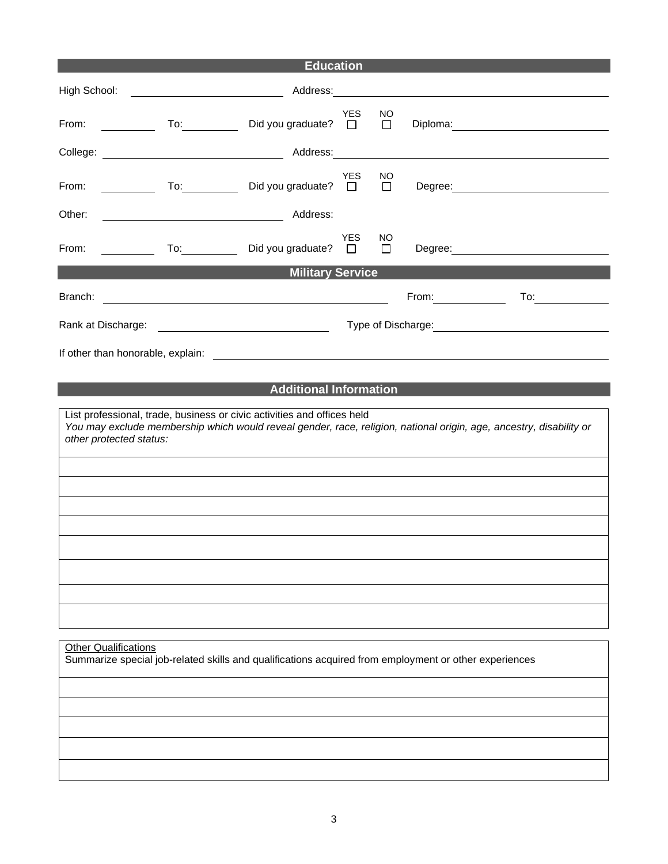|                                                                              |                                                   | <b>Education</b>                                                                                                                                                                                                               |                      |               |       |                                                                                                                                                                                                                               |
|------------------------------------------------------------------------------|---------------------------------------------------|--------------------------------------------------------------------------------------------------------------------------------------------------------------------------------------------------------------------------------|----------------------|---------------|-------|-------------------------------------------------------------------------------------------------------------------------------------------------------------------------------------------------------------------------------|
| High School:                                                                 |                                                   |                                                                                                                                                                                                                                |                      |               |       |                                                                                                                                                                                                                               |
| From:<br>$\overline{\phantom{a}}$ . The contract of $\overline{\phantom{a}}$ |                                                   | Did you graduate? $\square$                                                                                                                                                                                                    | <b>YES</b>           | NO.<br>$\Box$ |       | Diploma: 2000 Company Company Company Company Company Company Company Company Company Company Company Company Company Company Company Company Company Company Company Company Company Company Company Company Company Company |
|                                                                              |                                                   | College: College: College: College: College: College: College: College: College: College: College: College: College: College: College: College: College: College: College: College: College: College: College: College: Colleg |                      |               |       |                                                                                                                                                                                                                               |
| From:<br><u> Tanzania (</u>                                                  | $\overline{a}$ To: $\overline{a}$                 | Did you graduate?                                                                                                                                                                                                              | <b>YES</b><br>$\Box$ | NO.<br>$\Box$ |       |                                                                                                                                                                                                                               |
| Other:                                                                       | <u> 1989 - Johann Barnett, fransk politiker (</u> | Address:                                                                                                                                                                                                                       |                      |               |       |                                                                                                                                                                                                                               |
| From:                                                                        |                                                   | □ To: Did you graduate?                                                                                                                                                                                                        | <b>YES</b>           | NO<br>$\Box$  |       | Degree: <u>www.community.com</u>                                                                                                                                                                                              |
|                                                                              |                                                   | <b>Excess Service Control Control Military Service</b>                                                                                                                                                                         |                      |               |       |                                                                                                                                                                                                                               |
|                                                                              |                                                   |                                                                                                                                                                                                                                |                      |               | From: | To: $\qquad \qquad \qquad$                                                                                                                                                                                                    |
| Rank at Discharge:                                                           |                                                   |                                                                                                                                                                                                                                |                      |               |       | Type of Discharge: Type of Discharge:                                                                                                                                                                                         |
| If other than honorable, explain:                                            |                                                   | <u> 1989 - Andrea State Barbara, amerikan personal di sebagai personal di sebagai personal di sebagai personal di</u>                                                                                                          |                      |               |       |                                                                                                                                                                                                                               |
|                                                                              |                                                   |                                                                                                                                                                                                                                |                      |               |       |                                                                                                                                                                                                                               |
| other protected status:<br><b>Other Qualifications</b>                       |                                                   | List professional, trade, business or civic activities and offices held<br>Summarize special job-related skills and qualifications acquired from employment or other experiences                                               |                      |               |       | You may exclude membership which would reveal gender, race, religion, national origin, age, ancestry, disability or                                                                                                           |
|                                                                              |                                                   |                                                                                                                                                                                                                                |                      |               |       |                                                                                                                                                                                                                               |
|                                                                              |                                                   |                                                                                                                                                                                                                                |                      |               |       |                                                                                                                                                                                                                               |
|                                                                              |                                                   |                                                                                                                                                                                                                                |                      |               |       |                                                                                                                                                                                                                               |
|                                                                              |                                                   |                                                                                                                                                                                                                                |                      |               |       |                                                                                                                                                                                                                               |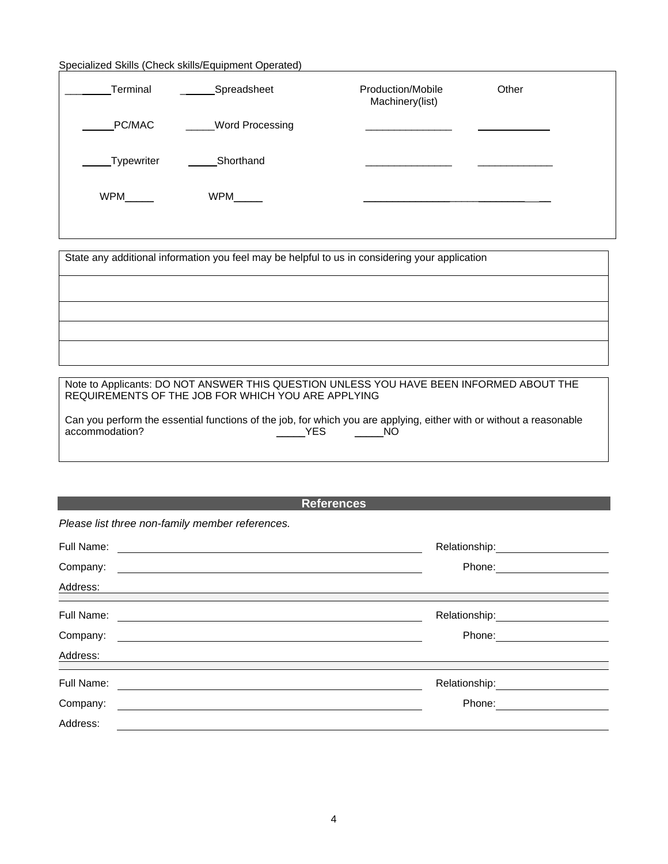## Specialized Skills (Check skills/Equipment Operated)

| Terminal   | Spreadsheet            | Production/Mobile<br>Machinery(list) | Other |
|------------|------------------------|--------------------------------------|-------|
| PC/MAC     | <b>Word Processing</b> |                                      |       |
| Typewriter | Shorthand              |                                      |       |
| WPM        | WPM                    |                                      |       |
|            |                        |                                      |       |

State any additional information you feel may be helpful to us in considering your application

Note to Applicants: DO NOT ANSWER THIS QUESTION UNLESS YOU HAVE BEEN INFORMED ABOUT THE REQUIREMENTS OF THE JOB FOR WHICH YOU ARE APPLYING

| Can you perform the essential functions of the job, for which you are applying, either with or without a reasonable |            |     |  |
|---------------------------------------------------------------------------------------------------------------------|------------|-----|--|
| accommodation?                                                                                                      | <b>YES</b> | NO. |  |

**References**

*Please list three non-family member references.*

| Full Name: | Relationship: |
|------------|---------------|
| Company:   | Phone:        |
| Address:   |               |
| Full Name: |               |
| Company:   | Phone:        |
| Address:   |               |
| Full Name: | Relationship: |
| Company:   | Phone:        |
| Address:   |               |